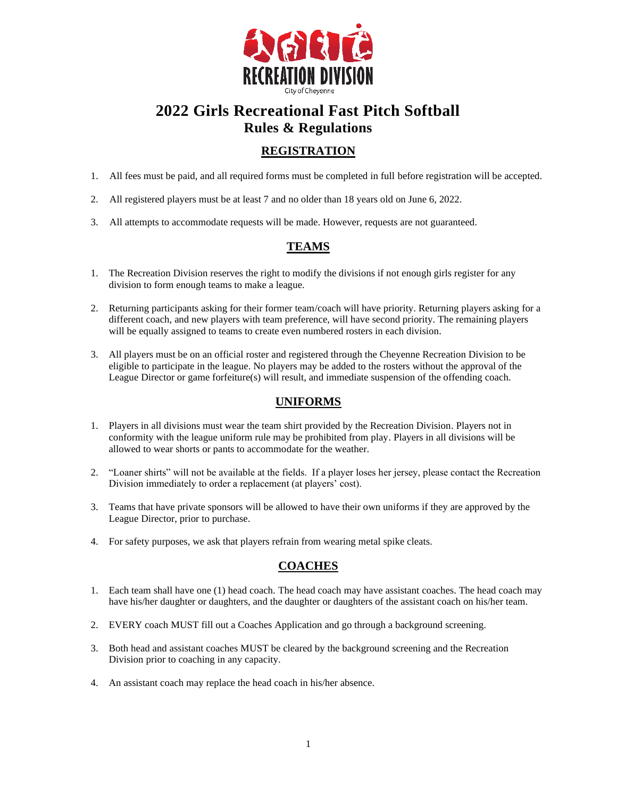

# **2022 Girls Recreational Fast Pitch Softball Rules & Regulations**

# **REGISTRATION**

- 1. All fees must be paid, and all required forms must be completed in full before registration will be accepted.
- 2. All registered players must be at least 7 and no older than 18 years old on June 6, 2022.
- 3. All attempts to accommodate requests will be made. However, requests are not guaranteed.

# **TEAMS**

- 1. The Recreation Division reserves the right to modify the divisions if not enough girls register for any division to form enough teams to make a league.
- 2. Returning participants asking for their former team/coach will have priority. Returning players asking for a different coach, and new players with team preference, will have second priority. The remaining players will be equally assigned to teams to create even numbered rosters in each division.
- 3. All players must be on an official roster and registered through the Cheyenne Recreation Division to be eligible to participate in the league. No players may be added to the rosters without the approval of the League Director or game forfeiture(s) will result, and immediate suspension of the offending coach.

## **UNIFORMS**

- 1. Players in all divisions must wear the team shirt provided by the Recreation Division. Players not in conformity with the league uniform rule may be prohibited from play. Players in all divisions will be allowed to wear shorts or pants to accommodate for the weather.
- 2. "Loaner shirts" will not be available at the fields. If a player loses her jersey, please contact the Recreation Division immediately to order a replacement (at players' cost).
- 3. Teams that have private sponsors will be allowed to have their own uniforms if they are approved by the League Director, prior to purchase.
- 4. For safety purposes, we ask that players refrain from wearing metal spike cleats.

# **COACHES**

- 1. Each team shall have one (1) head coach. The head coach may have assistant coaches. The head coach may have his/her daughter or daughters, and the daughter or daughters of the assistant coach on his/her team.
- 2. EVERY coach MUST fill out a Coaches Application and go through a background screening.
- 3. Both head and assistant coaches MUST be cleared by the background screening and the Recreation Division prior to coaching in any capacity.
- 4. An assistant coach may replace the head coach in his/her absence.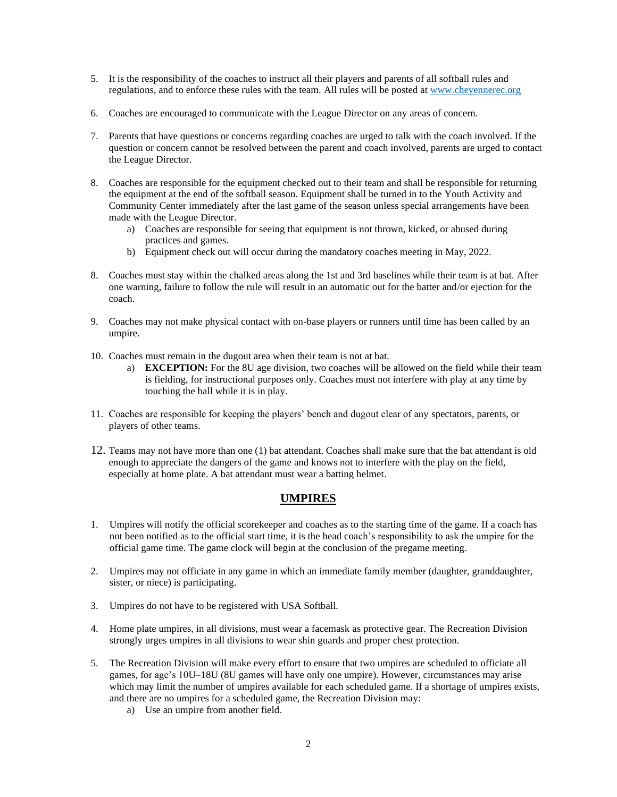- 5. It is the responsibility of the coaches to instruct all their players and parents of all softball rules and regulations, and to enforce these rules with the team. All rules will be posted at [www.cheyennerec.org](http://www.cheyennerec.org/)
- 6. Coaches are encouraged to communicate with the League Director on any areas of concern.
- 7. Parents that have questions or concerns regarding coaches are urged to talk with the coach involved. If the question or concern cannot be resolved between the parent and coach involved, parents are urged to contact the League Director.
- 8. Coaches are responsible for the equipment checked out to their team and shall be responsible for returning the equipment at the end of the softball season. Equipment shall be turned in to the Youth Activity and Community Center immediately after the last game of the season unless special arrangements have been made with the League Director.
	- a) Coaches are responsible for seeing that equipment is not thrown, kicked, or abused during practices and games.
	- b) Equipment check out will occur during the mandatory coaches meeting in May, 2022.
- 8. Coaches must stay within the chalked areas along the 1st and 3rd baselines while their team is at bat. After one warning, failure to follow the rule will result in an automatic out for the batter and/or ejection for the coach.
- 9. Coaches may not make physical contact with on-base players or runners until time has been called by an umpire.
- 10. Coaches must remain in the dugout area when their team is not at bat.
	- a) **EXCEPTION:** For the 8U age division, two coaches will be allowed on the field while their team is fielding, for instructional purposes only. Coaches must not interfere with play at any time by touching the ball while it is in play.
- 11. Coaches are responsible for keeping the players' bench and dugout clear of any spectators, parents, or players of other teams.
- 12. Teams may not have more than one (1) bat attendant. Coaches shall make sure that the bat attendant is old enough to appreciate the dangers of the game and knows not to interfere with the play on the field, especially at home plate. A bat attendant must wear a batting helmet.

## **UMPIRES**

- 1. Umpires will notify the official scorekeeper and coaches as to the starting time of the game. If a coach has not been notified as to the official start time, it is the head coach's responsibility to ask the umpire for the official game time. The game clock will begin at the conclusion of the pregame meeting.
- 2. Umpires may not officiate in any game in which an immediate family member (daughter, granddaughter, sister, or niece) is participating.
- 3. Umpires do not have to be registered with USA Softball.
- 4. Home plate umpires, in all divisions, must wear a facemask as protective gear. The Recreation Division strongly urges umpires in all divisions to wear shin guards and proper chest protection.
- 5. The Recreation Division will make every effort to ensure that two umpires are scheduled to officiate all games, for age's 10U–18U (8U games will have only one umpire). However, circumstances may arise which may limit the number of umpires available for each scheduled game. If a shortage of umpires exists, and there are no umpires for a scheduled game, the Recreation Division may:
	- a) Use an umpire from another field.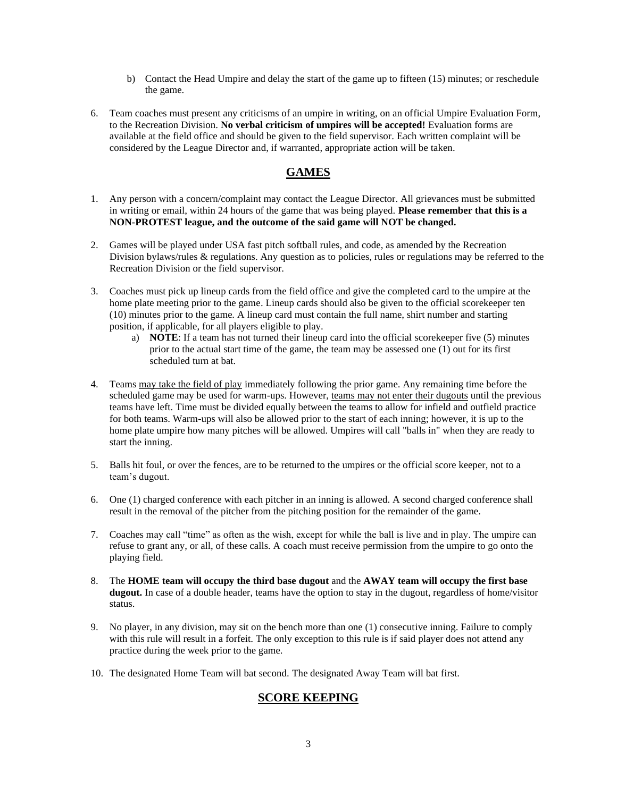- b) Contact the Head Umpire and delay the start of the game up to fifteen (15) minutes; or reschedule the game.
- 6. Team coaches must present any criticisms of an umpire in writing, on an official Umpire Evaluation Form, to the Recreation Division. **No verbal criticism of umpires will be accepted!** Evaluation forms are available at the field office and should be given to the field supervisor. Each written complaint will be considered by the League Director and, if warranted, appropriate action will be taken.

## **GAMES**

- 1. Any person with a concern/complaint may contact the League Director. All grievances must be submitted in writing or email, within 24 hours of the game that was being played. **Please remember that this is a NON-PROTEST league, and the outcome of the said game will NOT be changed.**
- 2. Games will be played under USA fast pitch softball rules, and code, as amended by the Recreation Division bylaws/rules & regulations. Any question as to policies, rules or regulations may be referred to the Recreation Division or the field supervisor.
- 3. Coaches must pick up lineup cards from the field office and give the completed card to the umpire at the home plate meeting prior to the game. Lineup cards should also be given to the official scorekeeper ten (10) minutes prior to the game. A lineup card must contain the full name, shirt number and starting position, if applicable, for all players eligible to play.
	- a) **NOTE**: If a team has not turned their lineup card into the official scorekeeper five (5) minutes prior to the actual start time of the game, the team may be assessed one (1) out for its first scheduled turn at bat.
- 4. Teams may take the field of play immediately following the prior game. Any remaining time before the scheduled game may be used for warm-ups. However, teams may not enter their dugouts until the previous teams have left. Time must be divided equally between the teams to allow for infield and outfield practice for both teams. Warm-ups will also be allowed prior to the start of each inning; however, it is up to the home plate umpire how many pitches will be allowed. Umpires will call "balls in" when they are ready to start the inning.
- 5. Balls hit foul, or over the fences, are to be returned to the umpires or the official score keeper, not to a team's dugout.
- 6. One (1) charged conference with each pitcher in an inning is allowed. A second charged conference shall result in the removal of the pitcher from the pitching position for the remainder of the game.
- 7. Coaches may call "time" as often as the wish, except for while the ball is live and in play. The umpire can refuse to grant any, or all, of these calls. A coach must receive permission from the umpire to go onto the playing field.
- 8. The **HOME team will occupy the third base dugout** and the **AWAY team will occupy the first base dugout.** In case of a double header, teams have the option to stay in the dugout, regardless of home/visitor status.
- 9. No player, in any division, may sit on the bench more than one (1) consecutive inning. Failure to comply with this rule will result in a forfeit. The only exception to this rule is if said player does not attend any practice during the week prior to the game.
- 10. The designated Home Team will bat second. The designated Away Team will bat first.

## **SCORE KEEPING**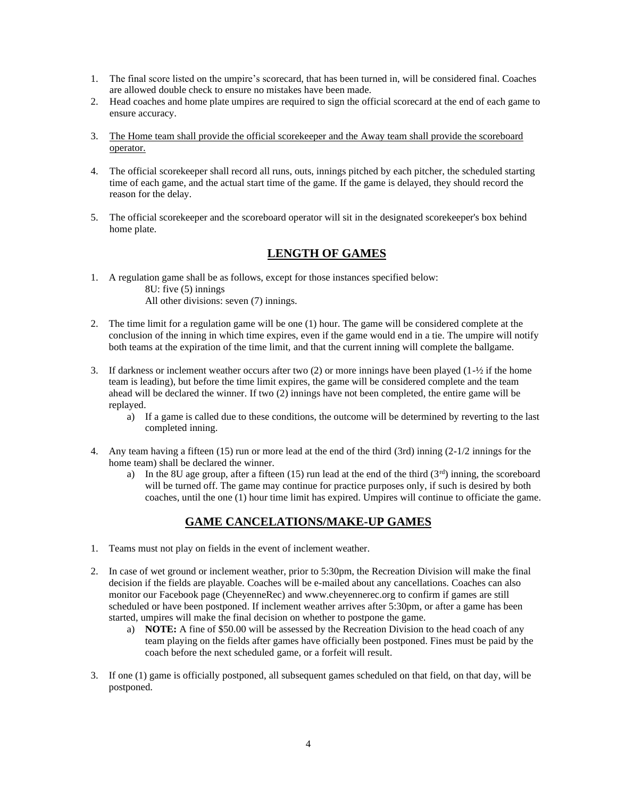- 1. The final score listed on the umpire's scorecard, that has been turned in, will be considered final. Coaches are allowed double check to ensure no mistakes have been made.
- 2. Head coaches and home plate umpires are required to sign the official scorecard at the end of each game to ensure accuracy.
- 3. The Home team shall provide the official scorekeeper and the Away team shall provide the scoreboard operator.
- 4. The official scorekeeper shall record all runs, outs, innings pitched by each pitcher, the scheduled starting time of each game, and the actual start time of the game. If the game is delayed, they should record the reason for the delay.
- 5. The official scorekeeper and the scoreboard operator will sit in the designated scorekeeper's box behind home plate.

# **LENGTH OF GAMES**

- 1. A regulation game shall be as follows, except for those instances specified below: 8U: five (5) innings All other divisions: seven (7) innings.
- 2. The time limit for a regulation game will be one (1) hour. The game will be considered complete at the conclusion of the inning in which time expires, even if the game would end in a tie. The umpire will notify both teams at the expiration of the time limit, and that the current inning will complete the ballgame.
- 3. If darkness or inclement weather occurs after two  $(2)$  or more innings have been played  $(1-\frac{1}{2})$  if the home team is leading), but before the time limit expires, the game will be considered complete and the team ahead will be declared the winner. If two (2) innings have not been completed, the entire game will be replayed.
	- a) If a game is called due to these conditions, the outcome will be determined by reverting to the last completed inning.
- 4. Any team having a fifteen (15) run or more lead at the end of the third (3rd) inning (2-1/2 innings for the home team) shall be declared the winner.
	- a) In the 8U age group, after a fifteen (15) run lead at the end of the third  $(3<sup>rd</sup>)$  inning, the scoreboard will be turned off. The game may continue for practice purposes only, if such is desired by both coaches, until the one (1) hour time limit has expired. Umpires will continue to officiate the game.

# **GAME CANCELATIONS/MAKE-UP GAMES**

- 1. Teams must not play on fields in the event of inclement weather.
- 2. In case of wet ground or inclement weather, prior to 5:30pm, the Recreation Division will make the final decision if the fields are playable. Coaches will be e-mailed about any cancellations. Coaches can also monitor our Facebook page (CheyenneRec) and www.cheyennerec.org to confirm if games are still scheduled or have been postponed. If inclement weather arrives after 5:30pm, or after a game has been started, umpires will make the final decision on whether to postpone the game.
	- a) **NOTE:** A fine of \$50.00 will be assessed by the Recreation Division to the head coach of any team playing on the fields after games have officially been postponed. Fines must be paid by the coach before the next scheduled game, or a forfeit will result.
- 3. If one (1) game is officially postponed, all subsequent games scheduled on that field, on that day, will be postponed.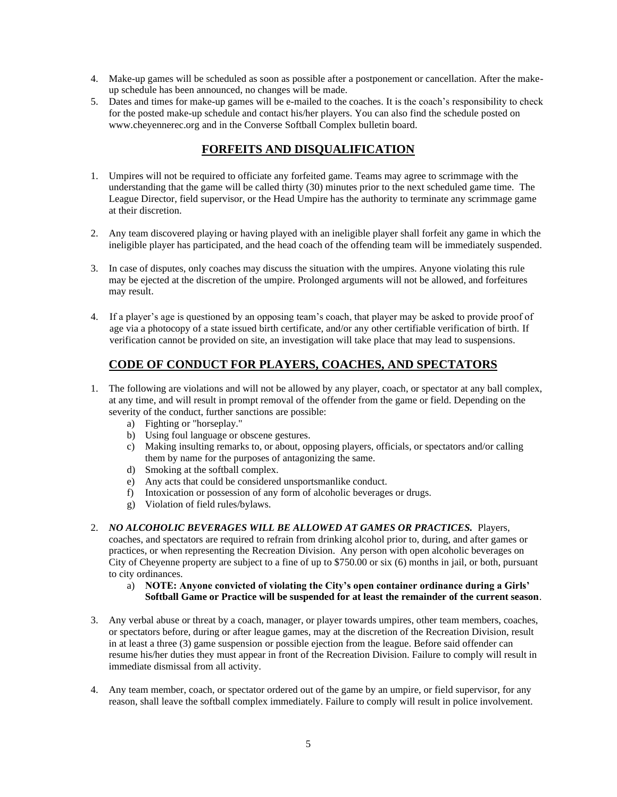- 4. Make-up games will be scheduled as soon as possible after a postponement or cancellation. After the makeup schedule has been announced, no changes will be made.
- 5. Dates and times for make-up games will be e-mailed to the coaches. It is the coach's responsibility to check for the posted make-up schedule and contact his/her players. You can also find the schedule posted on www.cheyennerec.org and in the Converse Softball Complex bulletin board.

# **FORFEITS AND DISQUALIFICATION**

- 1. Umpires will not be required to officiate any forfeited game. Teams may agree to scrimmage with the understanding that the game will be called thirty (30) minutes prior to the next scheduled game time. The League Director, field supervisor, or the Head Umpire has the authority to terminate any scrimmage game at their discretion.
- 2. Any team discovered playing or having played with an ineligible player shall forfeit any game in which the ineligible player has participated, and the head coach of the offending team will be immediately suspended.
- 3. In case of disputes, only coaches may discuss the situation with the umpires. Anyone violating this rule may be ejected at the discretion of the umpire. Prolonged arguments will not be allowed, and forfeitures may result.
- 4. If a player's age is questioned by an opposing team's coach, that player may be asked to provide proof of age via a photocopy of a state issued birth certificate, and/or any other certifiable verification of birth. If verification cannot be provided on site, an investigation will take place that may lead to suspensions.

# **CODE OF CONDUCT FOR PLAYERS, COACHES, AND SPECTATORS**

- 1. The following are violations and will not be allowed by any player, coach, or spectator at any ball complex, at any time, and will result in prompt removal of the offender from the game or field. Depending on the severity of the conduct, further sanctions are possible:
	- a) Fighting or "horseplay."
	- b) Using foul language or obscene gestures.
	- c) Making insulting remarks to, or about, opposing players, officials, or spectators and/or calling them by name for the purposes of antagonizing the same.
	- d) Smoking at the softball complex.
	- e) Any acts that could be considered unsportsmanlike conduct.
	- f) Intoxication or possession of any form of alcoholic beverages or drugs.
	- g) Violation of field rules/bylaws.
- 2. *NO ALCOHOLIC BEVERAGES WILL BE ALLOWED AT GAMES OR PRACTICES.* Players,

coaches, and spectators are required to refrain from drinking alcohol prior to, during, and after games or practices, or when representing the Recreation Division. Any person with open alcoholic beverages on City of Cheyenne property are subject to a fine of up to \$750.00 or six (6) months in jail, or both, pursuant to city ordinances.

- a) **NOTE: Anyone convicted of violating the City's open container ordinance during a Girls' Softball Game or Practice will be suspended for at least the remainder of the current season**.
- 3. Any verbal abuse or threat by a coach, manager, or player towards umpires, other team members, coaches, or spectators before, during or after league games, may at the discretion of the Recreation Division, result in at least a three (3) game suspension or possible ejection from the league. Before said offender can resume his/her duties they must appear in front of the Recreation Division. Failure to comply will result in immediate dismissal from all activity.
- 4. Any team member, coach, or spectator ordered out of the game by an umpire, or field supervisor, for any reason, shall leave the softball complex immediately. Failure to comply will result in police involvement.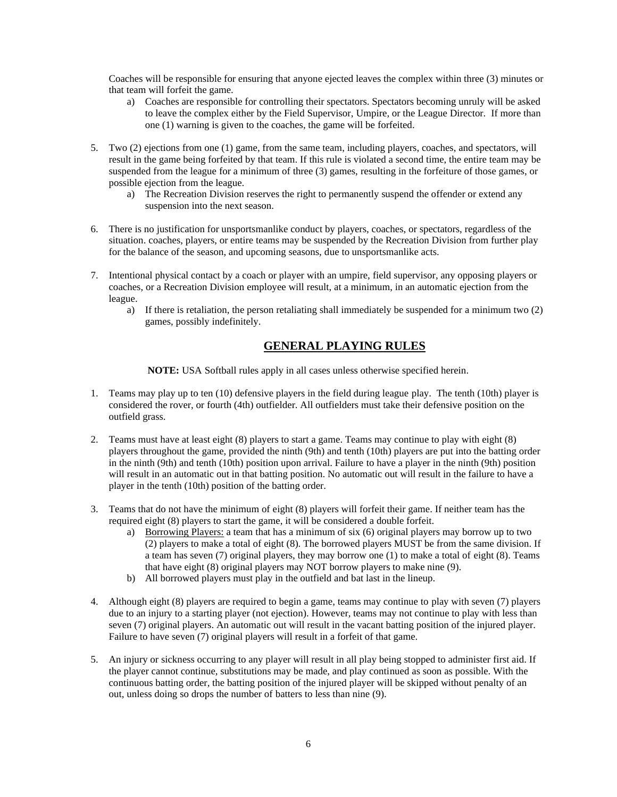Coaches will be responsible for ensuring that anyone ejected leaves the complex within three (3) minutes or that team will forfeit the game.

- a) Coaches are responsible for controlling their spectators. Spectators becoming unruly will be asked to leave the complex either by the Field Supervisor, Umpire, or the League Director. If more than one (1) warning is given to the coaches, the game will be forfeited.
- 5. Two (2) ejections from one (1) game, from the same team, including players, coaches, and spectators, will result in the game being forfeited by that team. If this rule is violated a second time, the entire team may be suspended from the league for a minimum of three (3) games, resulting in the forfeiture of those games, or possible ejection from the league.
	- a) The Recreation Division reserves the right to permanently suspend the offender or extend any suspension into the next season.
- 6. There is no justification for unsportsmanlike conduct by players, coaches, or spectators, regardless of the situation. coaches, players, or entire teams may be suspended by the Recreation Division from further play for the balance of the season, and upcoming seasons, due to unsportsmanlike acts.
- 7. Intentional physical contact by a coach or player with an umpire, field supervisor, any opposing players or coaches, or a Recreation Division employee will result, at a minimum, in an automatic ejection from the league.
	- a) If there is retaliation, the person retaliating shall immediately be suspended for a minimum two (2) games, possibly indefinitely.

## **GENERAL PLAYING RULES**

**NOTE:** USA Softball rules apply in all cases unless otherwise specified herein.

- 1. Teams may play up to ten (10) defensive players in the field during league play. The tenth (10th) player is considered the rover, or fourth (4th) outfielder. All outfielders must take their defensive position on the outfield grass.
- 2. Teams must have at least eight (8) players to start a game. Teams may continue to play with eight (8) players throughout the game, provided the ninth (9th) and tenth (10th) players are put into the batting order in the ninth (9th) and tenth (10th) position upon arrival. Failure to have a player in the ninth (9th) position will result in an automatic out in that batting position. No automatic out will result in the failure to have a player in the tenth (10th) position of the batting order.
- 3. Teams that do not have the minimum of eight (8) players will forfeit their game. If neither team has the required eight (8) players to start the game, it will be considered a double forfeit.
	- a) Borrowing Players: a team that has a minimum of six (6) original players may borrow up to two (2) players to make a total of eight (8). The borrowed players MUST be from the same division. If a team has seven (7) original players, they may borrow one (1) to make a total of eight (8). Teams that have eight (8) original players may NOT borrow players to make nine (9).
	- b) All borrowed players must play in the outfield and bat last in the lineup.
- 4. Although eight (8) players are required to begin a game, teams may continue to play with seven (7) players due to an injury to a starting player (not ejection). However, teams may not continue to play with less than seven (7) original players. An automatic out will result in the vacant batting position of the injured player. Failure to have seven (7) original players will result in a forfeit of that game.
- 5. An injury or sickness occurring to any player will result in all play being stopped to administer first aid. If the player cannot continue, substitutions may be made, and play continued as soon as possible. With the continuous batting order, the batting position of the injured player will be skipped without penalty of an out, unless doing so drops the number of batters to less than nine (9).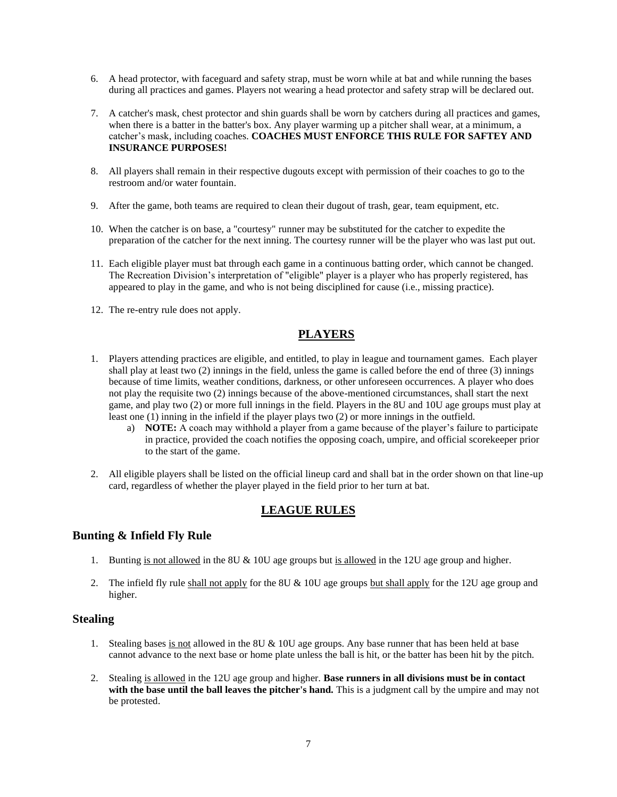- 6. A head protector, with faceguard and safety strap, must be worn while at bat and while running the bases during all practices and games. Players not wearing a head protector and safety strap will be declared out.
- 7. A catcher's mask, chest protector and shin guards shall be worn by catchers during all practices and games, when there is a batter in the batter's box. Any player warming up a pitcher shall wear, at a minimum, a catcher's mask, including coaches. **COACHES MUST ENFORCE THIS RULE FOR SAFTEY AND INSURANCE PURPOSES!**
- 8. All players shall remain in their respective dugouts except with permission of their coaches to go to the restroom and/or water fountain.
- 9. After the game, both teams are required to clean their dugout of trash, gear, team equipment, etc.
- 10. When the catcher is on base, a "courtesy" runner may be substituted for the catcher to expedite the preparation of the catcher for the next inning. The courtesy runner will be the player who was last put out.
- 11. Each eligible player must bat through each game in a continuous batting order, which cannot be changed. The Recreation Division's interpretation of "eligible" player is a player who has properly registered, has appeared to play in the game, and who is not being disciplined for cause (i.e., missing practice).
- 12. The re-entry rule does not apply.

## **PLAYERS**

- 1. Players attending practices are eligible, and entitled, to play in league and tournament games. Each player shall play at least two (2) innings in the field, unless the game is called before the end of three (3) innings because of time limits, weather conditions, darkness, or other unforeseen occurrences. A player who does not play the requisite two (2) innings because of the above-mentioned circumstances, shall start the next game, and play two (2) or more full innings in the field. Players in the 8U and 10U age groups must play at least one (1) inning in the infield if the player plays two (2) or more innings in the outfield.
	- a) **NOTE:** A coach may withhold a player from a game because of the player's failure to participate in practice, provided the coach notifies the opposing coach, umpire, and official scorekeeper prior to the start of the game.
- 2. All eligible players shall be listed on the official lineup card and shall bat in the order shown on that line-up card, regardless of whether the player played in the field prior to her turn at bat.

# **LEAGUE RULES**

#### **Bunting & Infield Fly Rule**

- 1. Bunting is not allowed in the 8U  $& 10U$  age groups but is allowed in the 12U age group and higher.
- 2. The infield fly rule shall not apply for the 8U & 10U age groups but shall apply for the 12U age group and higher.

#### **Stealing**

- 1. Stealing bases is not allowed in the 8U & 10U age groups. Any base runner that has been held at base cannot advance to the next base or home plate unless the ball is hit, or the batter has been hit by the pitch.
- 2. Stealing is allowed in the 12U age group and higher. **Base runners in all divisions must be in contact**  with the base until the ball leaves the pitcher's hand. This is a judgment call by the umpire and may not be protested.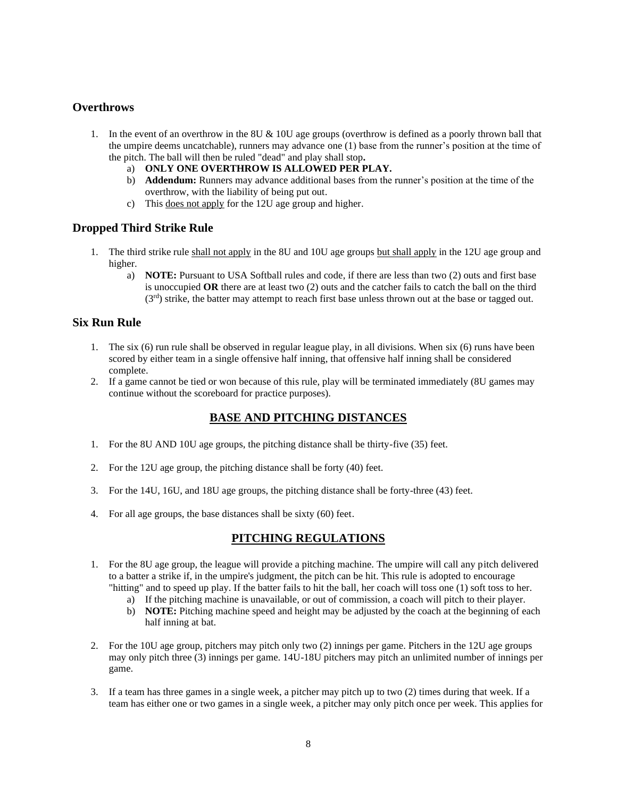#### **Overthrows**

- 1. In the event of an overthrow in the 8U & 10U age groups (overthrow is defined as a poorly thrown ball that the umpire deems uncatchable), runners may advance one (1) base from the runner's position at the time of the pitch. The ball will then be ruled "dead" and play shall stop**.** 
	- a) **ONLY ONE OVERTHROW IS ALLOWED PER PLAY.**
	- b) **Addendum:** Runners may advance additional bases from the runner's position at the time of the overthrow, with the liability of being put out.
	- c) This does not apply for the 12U age group and higher.

#### **Dropped Third Strike Rule**

- 1. The third strike rule shall not apply in the 8U and 10U age groups but shall apply in the 12U age group and higher.
	- a) **NOTE:** Pursuant to USA Softball rules and code, if there are less than two (2) outs and first base is unoccupied **OR** there are at least two (2) outs and the catcher fails to catch the ball on the third (3<sup>rd</sup>) strike, the batter may attempt to reach first base unless thrown out at the base or tagged out.

#### **Six Run Rule**

- 1. The six (6) run rule shall be observed in regular league play, in all divisions. When six (6) runs have been scored by either team in a single offensive half inning, that offensive half inning shall be considered complete.
- 2. If a game cannot be tied or won because of this rule, play will be terminated immediately (8U games may continue without the scoreboard for practice purposes).

## **BASE AND PITCHING DISTANCES**

- 1. For the 8U AND 10U age groups, the pitching distance shall be thirty-five (35) feet.
- 2. For the 12U age group, the pitching distance shall be forty (40) feet.
- 3. For the 14U, 16U, and 18U age groups, the pitching distance shall be forty-three (43) feet.
- 4. For all age groups, the base distances shall be sixty (60) feet.

#### **PITCHING REGULATIONS**

- 1. For the 8U age group, the league will provide a pitching machine. The umpire will call any pitch delivered to a batter a strike if, in the umpire's judgment, the pitch can be hit. This rule is adopted to encourage "hitting" and to speed up play. If the batter fails to hit the ball, her coach will toss one (1) soft toss to her.
	- a) If the pitching machine is unavailable, or out of commission, a coach will pitch to their player.
	- b) **NOTE:** Pitching machine speed and height may be adjusted by the coach at the beginning of each half inning at bat.
- 2. For the 10U age group, pitchers may pitch only two (2) innings per game. Pitchers in the 12U age groups may only pitch three (3) innings per game. 14U-18U pitchers may pitch an unlimited number of innings per game.
- 3. If a team has three games in a single week, a pitcher may pitch up to two (2) times during that week. If a team has either one or two games in a single week, a pitcher may only pitch once per week. This applies for